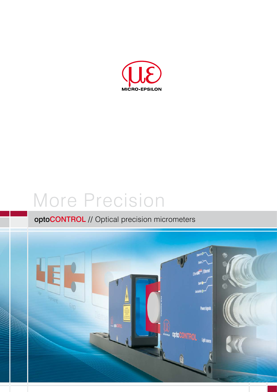

# More Precision

# optoCONTROL // Optical precision micrometers

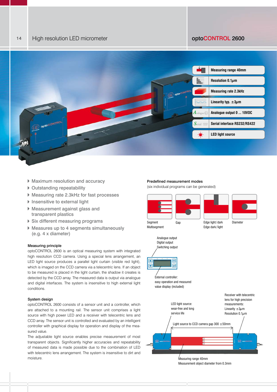

- Maximum resolution and accuracy
- ▶ Outstanding repeatability
- Measuring rate 2.3kHz for fast processes
- $\blacktriangleright$  Insensitive to external light
- Measurement against glass and transparent plastics
- Six different measuring programs
- Measures up to 4 segments simultaneously (e.g. 4 x diameter)

# Measuring principle

optoCONTROL 2600 is an optical measuring system with integrated high resolution CCD camera. Using a special lens arrangement, an LED light source produces a parallel light curtain (visible red light), which is imaged on the CCD camera via a telecentric lens. If an object to be measured is placed in the light curtain, the shadow it creates is detected by the CCD array. The measured data is output via analogue and digital interfaces. The system is insensitive to high external light conditions.

# System design

optoCONTROL 2600 consists of a sensor unit and a controller, which are attached to a mounting rail. The sensor unit comprises a light source with high power LED and a receiver with telecentric lens and CCD array. The sensor unit is controlled and evaluated by an intelligent controller with graphical display for operation and display of the measured value.

The adjustable light source enables precise measurement of most transparent objects. Significantly higher accuracies and repeatability of measured data is made possible due to the combination of LED with telecentric lens arrangement. The system is insensitive to dirt and moisture.

### Predefined measurement modes

(six individual programs can be generated)



Measurement object diameter from 0.3mm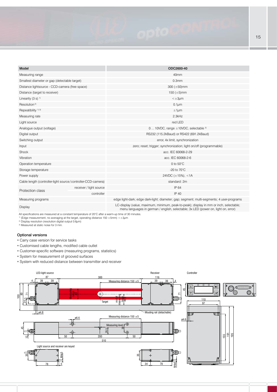| Model                                                        |                         | ODC2600-40                                                                                                                                                                   |
|--------------------------------------------------------------|-------------------------|------------------------------------------------------------------------------------------------------------------------------------------------------------------------------|
| Measuring range                                              |                         | 40 <sub>mm</sub>                                                                                                                                                             |
| Smallest diameter or gap (detectable target)                 |                         | 0.3 <sub>mm</sub>                                                                                                                                                            |
| Distance lightsource - CCD-camera (free space)               |                         | 300 $(\pm 50)$ mm                                                                                                                                                            |
| Distance (target to receiver)                                |                         | 150 $(\pm 5)$ mm                                                                                                                                                             |
| Linearity $(3 s)$ <sup>1)</sup>                              |                         | $\leq \pm 3 \mu m$                                                                                                                                                           |
| Resolution <sup>2)</sup>                                     |                         | $0.1 \mu m$                                                                                                                                                                  |
| Repeatibility <sup>1) 3)</sup>                               |                         | $±1 \mu m$                                                                                                                                                                   |
| Measuring rate                                               |                         | 2.3kHz                                                                                                                                                                       |
| Light source                                                 |                         | red LED                                                                                                                                                                      |
| Analogue output (voltage)                                    |                         | 0  10VDC, range $\pm$ 10VDC, selectable $3$                                                                                                                                  |
| Digital output                                               |                         | RS232 (115.2kBaud) or RS422 (691.2kBaud)                                                                                                                                     |
| Switching output                                             |                         | error, 4x limit, synchronization                                                                                                                                             |
| Input                                                        |                         | zero; reset; trigger; synchronization; light on/off (programmable)                                                                                                           |
| Shock                                                        |                         | acc. IEC 60068-2-29                                                                                                                                                          |
| Vibration                                                    |                         | acc. IEC 60068-2-6                                                                                                                                                           |
| Operation temperature                                        |                         | 0 to $50^{\circ}$ C                                                                                                                                                          |
| Storage temperature                                          |                         | -20 to $70^{\circ}$ C                                                                                                                                                        |
| Power supply                                                 |                         | 24VDC $(\pm 15\%)$ , <1A                                                                                                                                                     |
| Cable length (controller-light source/controller-CCD-camera) |                         | standard: 2m                                                                                                                                                                 |
| Protection class                                             | receiver / light source | IP 64                                                                                                                                                                        |
|                                                              | controller              | IP 40                                                                                                                                                                        |
| Measuring programs                                           |                         | edge light-dark; edge dark-light; diameter; gap; segment; multi-segments; 4 user-programs                                                                                    |
| Display                                                      |                         | LC-display (value, maximum, minimum, peak-to-peak); display in mm or inch, selectable;<br>menu languages in german / english, selectable; 3x LED (power on, light on, error) |

All specifications are measured at a constant temperature of 20°C after a warm-up time of 30 minutes.

<sup>1)</sup> (Edge measurement, no averaging at the target, operating distance 150  $\pm$ 5mm) < $\pm$ 3μm

<sup>2)</sup> Display resolution (resolution digital output 0.6μm)

3) Measured at static noise for 3 min.

# Optional versions

**Carry case version for service tasks** 

- Customised cable lengths, modified cable outlet
- Customer-specific software (measuring programs, statistics)
- System for measurement of grooved surfaces
- System with reduced distance between transmitter and receiver

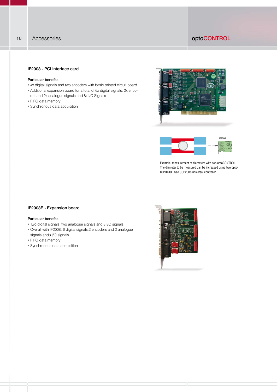# 16 Accessories **CONTROL**

# IF2008 - PCI interface card

# Particular benefits

- 4x digital signals and two encoders with basic printed circuit board
- Additional expansion board for a total of 6x digital signals, 2x encoder and 2x analogue signals and 8x I/O Signals
- FIFO data memory
- Synchronous data acquisition





Example: measurement of diameters with two optoCONTROL. The diameter to be measured can be increased using two opto-CONTROL. See CSP2008 universal controller.

# IF2008E - Expansion board

# Particular benefits

- Two digital signals, two analogue signals and 8 I/O signals
- Overall with IF2008: 6 digital signals,2 encoders and 2 analogue signals and8 I/O signals
- **FIFO data memory**
- Synchronous data acquisition

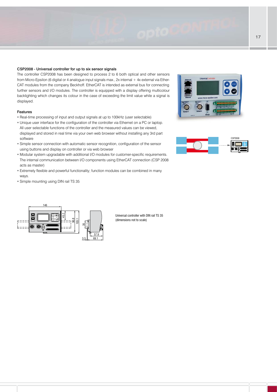## CSP2008 - Universal controller for up to six sensor signals

The controller CSP2008 has been designed to process 2 to 6 both optical and other sensors from Micro-Epsilon (6 digital or 4 analogue input signals max., 2x internal + 4x external via Ether-CAT modules from the company Beckhoff. EtherCAT is intended as external bus for connecting further sensors and I/O modules. The controller is equipped with a display offering multicolour backlighting which changes its colour in the case of exceeding the limit value while a signal is displayed.

# Features

- Real-time processing of input and output signals at up to 100kHz (user selectable)
- Unique user interface for the configuration of the controller via Ethernet on a PC or laptop. All user selectable functions of the controller and the measured values can be viewed,
- displayed and stored in real time via your own web browser without installing any 3rd part software
- Simple sensor connection with automatic sensor recognition, configuration of the sensor using buttons and display on controller or via web browser
- Modular system upgradable with additional I/O modules for customer-specific requirements. The internal communication between I/O components using EtherCAT connection (CSP 2008 acts as master)
- Extremely flexible and powerful functionality; function modules can be combined in many ways.
- Simple mounting using DIN rail TS 35







Universal controller with DIN rail TS 35 (dimensions not to scale)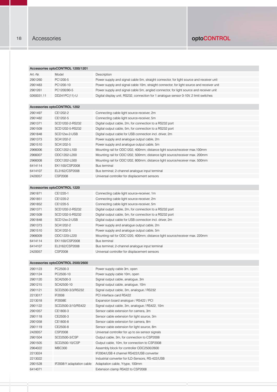Accessories optoCONTROL 1200/1201

| Art.-Nr.   | Model                             | Description                                                                               |
|------------|-----------------------------------|-------------------------------------------------------------------------------------------|
| 2901260    | PC1200-5                          | Power supply and signal cable 5m, straight connector, for light source and receiver unit  |
| 2901483    | PC1200-10                         | Power supply and signal cable 10m, straight connector, for light source and receiver unit |
| 2901261    | PC1200/90-5                       | Power supply and signal cable 5m, angled connector, for light source and receiver unit    |
| 0260031.11 | DD241PC(11)-U                     | Digital display unit, RS232, connection for 1 analogue sensor 0-10V, 2 limit switches     |
|            |                                   |                                                                                           |
|            | Accessories optoCONTROL 1202      |                                                                                           |
| 2901497    | CE1202-2                          | Connecting cable light source-receiver, 2m                                                |
| 2901482    | CE1202-5                          | Connecting cable light source-receiver, 5m                                                |
| 2901371    | SCD1202-2-RS232                   |                                                                                           |
| 2901509    | SCD1202-5-RS232                   | Digital output cable, 2m, for connection to a RS232 port                                  |
|            |                                   | Digital output cable, 5m, for connection to a RS232 port                                  |
| 2901848    | SCD12xx-2-USB                     | Digital output cable for USB connection incl. driver, 2m                                  |
| 2901373    | SCA1202-2                         | Power supply and analogue output cable, 2m                                                |
| 2901510    | SCA1202-5                         | Power supply and analogue output cable, 5m                                                |
| 2966006    | ODC1202-L100                      | Mounting rail for ODC1202, 400mm; distance light source/receiver max.100mm                |
| 2966007    | ODC1202-L200                      | Mounting rail for ODC1202, 500mm; distance light source/receiver max. 200mm               |
| 2966008    | ODC1202-L500                      | Mounting rail for ODC1202, 800mm; distance light source/receiver max. 500mm               |
| 6414114    | EK1100/CSP2008                    | <b>Bus terminal</b>                                                                       |
| 6414107    | EL3162/CSP2008                    | Bus terminal; 2-channel analogue input terminal                                           |
| 2420057    | CSP2008                           | Universal controller for displacement sensors                                             |
|            |                                   |                                                                                           |
|            | Accessories optoCONTROL 1220      |                                                                                           |
| 2901871    | CE1220-1                          | Connecting cable light source-receiver, 1m                                                |
| 2901851    | CE1220-2                          | Connecting cable light source-receiver, 2m                                                |
| 2901852    | CE1220-5                          | Connecting cable light source-receiver, 5m                                                |
| 2901371    | SCD1202-2-RS232                   | Digital output cable, 2m, for connection to a RS232 port                                  |
| 2901509    | SCD1202-5-RS232                   | Digital output cable, 5m, for connection to a RS232 port                                  |
| 2901848    | SCD12xx-2-USB                     | Digital output cable for USB connection incl. driver, 2m                                  |
| 2901373    | SCA1202-2                         | Power supply and analogue output cable, 2m                                                |
| 2901510    | SCA1202-5                         | Power supply and analogue output cable, 5m                                                |
| 2966009    | ODC1220-L220                      | Mounting rail for ODC1220, 400mm; distance light source/receiver max. 220mm               |
| 6414114    | EK1100/CSP2008                    | <b>Bus terminal</b>                                                                       |
| 6414107    | EL3162/CSP2008                    | Bus terminal; 2-channel analogue input terminal                                           |
| 2420057    | <b>CSP2008</b>                    | Universal controller for displacement sensors                                             |
|            |                                   |                                                                                           |
|            | Accessories optoCONTROL 2500/2600 |                                                                                           |
| 2901123    | PC2500-3                          | Power supply cable 3m, open                                                               |
| 2901124    | PC2500-10                         | Power supply cable 10m, open                                                              |
| 2901120    | SCA2500-3                         | Signal output cable, analogue, 3m                                                         |
| 2901215    | SCA2500-10                        | Signal output cable, analogue, 10m                                                        |
| 2901121    | SCD2500-3/3/RS232                 | Signal output cable, 3m, analogue / RS232                                                 |
| 2213017    | IF2008                            | PCI interface card RS422                                                                  |
| 2213018    | IF2008E                           | Expansion board analogue / RS422 / PCI                                                    |
| 2901122    | SCD2500-3/10/RS422                | Signal output cable, 3m, analogue / RS422, 10m                                            |
| 2901057    | CE1800-3                          | Sensor cable extension for camera, 3m                                                     |
| 2901118    | CE2500-3                          | Sensor cable extension for light source, 3m                                               |
| 2901058    | CE1800-8                          | Sensor cable extension for camera, 8m                                                     |
| 2901119    | CE2500-8                          | Sensor cable extension for light source, 8m                                               |
| 2420057    | CSP2008                           | Universal controller for up to six sensor signals                                         |
| 2901504    | SCD2500-3/CSP                     | Output cable, 3m, for connection to CSP2008                                               |
| 2901505    | SCD2500-10/CSP                    | Output cable, 10m, for connection to CSP2008                                              |
| 2964022    | <b>MBC300</b>                     | Assembly block for controller ODC2500/2600                                                |
| 2213024    |                                   | IF2004/USB 4 channel RS422/USB converter                                                  |
| 2213022    |                                   | Industrial converter for ILD-Sensors, RS-422/USB                                          |
| 2901528    |                                   |                                                                                           |
| 6414071    | IF2008-Y adaptation cable         | Adaptation cable, Y-type, 100mm<br>Extension clamp RS422 to CSP2008                       |
|            |                                   |                                                                                           |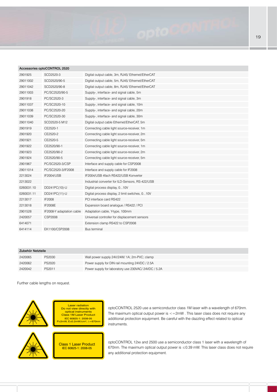|            | Accessories optooon in op 2520 |                                                   |
|------------|--------------------------------|---------------------------------------------------|
| 2901925    | SCD2520-3                      | Digital output cable, 3m, RJ45/Ethernet/EtherCAT  |
| 29011002   | SCD2520/90-5                   | Digital output cable, 5m, RJ45/ Ethernet/EtherCAT |
| 29011042   | SCD2520/90-8                   | Digital output cable, 8m, RJ45/Ethernet/EtherCAT  |
| 29011003   | PC/SC2520/90-5                 | Supply-, interface- and signal cable, 5m          |
| 2901918    | PC/SC2520-3                    | Supply-, interface- and signal cable, 3m          |
| 29011037   | PC/SC2520-10                   | Supply-, interface- and signal cable, 10m         |
| 29011038   | PC/SC2520-20                   | Supply-, interface- and signal cable, 20m         |
| 29011039   | PC/SC2520-30                   | Supply-, interface- and signal cable, 30m         |
| 29011040   | SCD2520-5 M12                  | Digital output cable Ethernet/EtherCAT, 5m        |
| 2901919    | CE2520-1                       | Connecting cable light source-receiver, 1m        |
| 2901920    | CE2520-2                       | Connecting cable light source-receiver, 2m        |
| 2901921    | CE2520-5                       | Connecting cable light source-receiver, 5m        |
| 2901922    | CE2520/90-1                    | Connecting cable light source-receiver, 1m        |
| 2901923    | CE2520/90-2                    | Connecting cable light source-receiver, 2m        |
| 2901924    | CE2520/90-5                    | Connecting cable light source-receiver, 5m        |
| 2901967    | PC/SC2520-3/CSP                | Interface and supply cable for CSP2008            |
| 29011014   | PC/SC2520-3/IF2008             | Interface and supply cable for IF2008             |
| 2213024    | <b>IF2004/USB</b>              | IF2004/USB 4fach RS422/USB Konverter              |
| 2213022    |                                | Industrial converter for ILD-Sensors, RS-422/USB  |
| 0260031.10 | DD241PC(10)-U                  | Digital process display, 010V                     |
| 0260031.11 | DD241PC(11)-U                  | Digital process display, 2 limit switches, 010V   |
| 2213017    | IF2008                         | PCI interface card RS422                          |
| 2213018    | IF2008E                        | Expansion board analogue / RS422 / PCI            |
| 2901528    | IF2008-Y adaptation cable      | Adaptation cable, Y-type, 100mm                   |
| 2420057    | <b>CSP2008</b>                 | Universal controller for displacement sensors     |
| 6414071    |                                | Extension clamp RS422 to CSP2008                  |
| 6414114    | EK1100/CSP2008                 | <b>Bus terminal</b>                               |

## Zubehör Netzteile

| 2420065 | PS2030 | Wall power supply 24V/24W/ 1A; 2m-PVC; clamp      |
|---------|--------|---------------------------------------------------|
| 2420062 | PS2020 | Power supply for DIN rail mounting 24VDC / 2.5A   |
| 2420042 | PS2011 | Power supply for laboratory use 230VAC/24VDC/5.2A |

Further cable lengths on request.

Accessories optoCONTROL 2520



Laser radiation Do not view directly with optical instruments Class 1M Laser Product IEC 60825-1: 2008-05 P≤2mW, E≤0.2mW/cm²; λ=670nm



optoCONTROL 2520 use a semiconductor class 1M laser with a wavelength of 670nm. The maximum optical output power is  $\leq$  = 2mW . This laser class does not require any additional protection equipment. Be careful with the dazzling effect related to optical instruments.

Class 1 Laser Product IEC 60825-1: 2008-05

optoCONTROL 12xx and 2500 use a semiconductor class 1 laser with a wavelength of 670nm. The maximum optical output power is ≤0.39 mW. This laser class does not require any additional protection equipment.